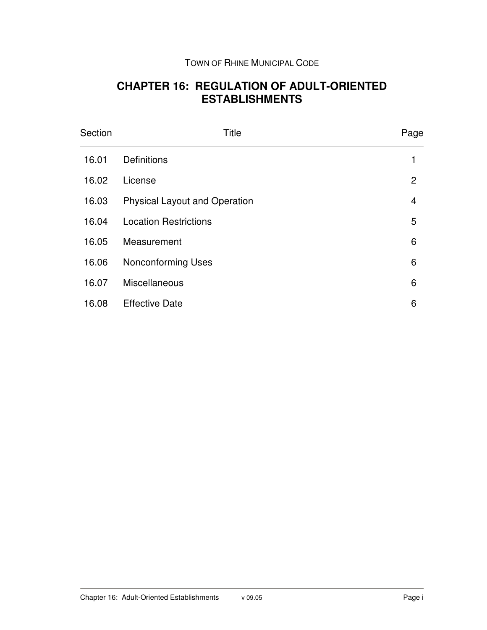# TOWN OF RHINE MUNICIPAL CODE

# **CHAPTER 16: REGULATION OF ADULT-ORIENTED ESTABLISHMENTS**

| <b>Title</b>                         | Page           |
|--------------------------------------|----------------|
| <b>Definitions</b>                   | 1              |
| License                              | $\overline{2}$ |
| <b>Physical Layout and Operation</b> | 4              |
| <b>Location Restrictions</b>         | 5              |
| Measurement                          | 6              |
| <b>Nonconforming Uses</b>            | 6              |
| Miscellaneous                        | 6              |
| <b>Effective Date</b>                | 6              |
|                                      |                |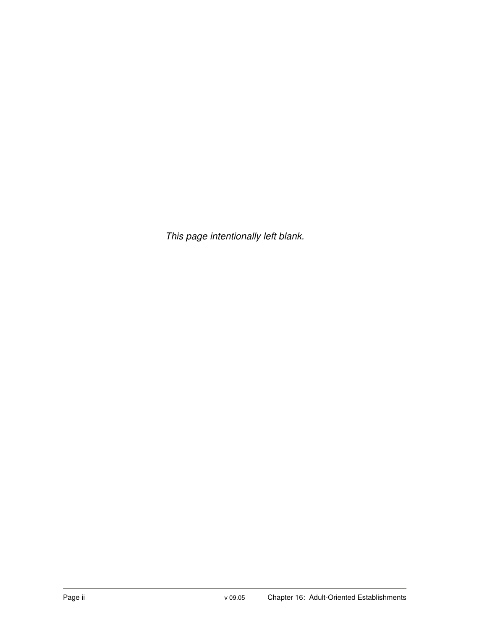This page intentionally left blank.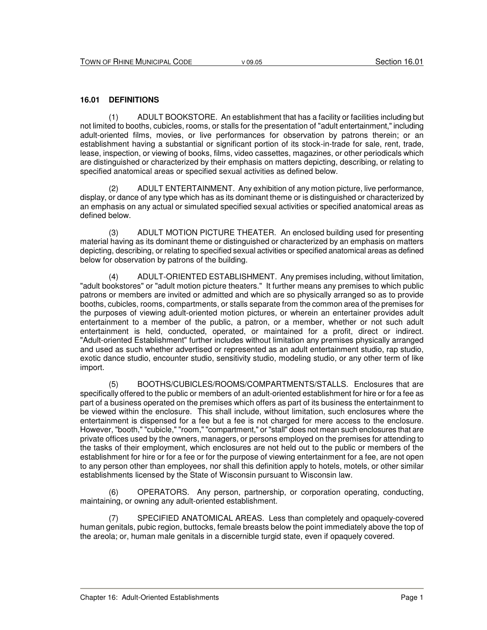## **16.01 DEFINITIONS**

(1) ADULT BOOKSTORE. An establishment that has a facility or facilities including but not limited to booths, cubicles, rooms, or stalls for the presentation of "adult entertainment," including adult-oriented films, movies, or live performances for observation by patrons therein; or an establishment having a substantial or significant portion of its stock-in-trade for sale, rent, trade, lease, inspection, or viewing of books, films, video cassettes, magazines, or other periodicals which are distinguished or characterized by their emphasis on matters depicting, describing, or relating to specified anatomical areas or specified sexual activities as defined below.

(2) ADULT ENTERTAINMENT. Any exhibition of any motion picture, live performance, display, or dance of any type which has as its dominant theme or is distinguished or characterized by an emphasis on any actual or simulated specified sexual activities or specified anatomical areas as defined below.

(3) ADULT MOTION PICTURE THEATER. An enclosed building used for presenting material having as its dominant theme or distinguished or characterized by an emphasis on matters depicting, describing, or relating to specified sexual activities or specified anatomical areas as defined below for observation by patrons of the building.

(4) ADULT-ORIENTED ESTABLISHMENT. Any premises including, without limitation, "adult bookstores" or "adult motion picture theaters." It further means any premises to which public patrons or members are invited or admitted and which are so physically arranged so as to provide booths, cubicles, rooms, compartments, or stalls separate from the common area of the premises for the purposes of viewing adult-oriented motion pictures, or wherein an entertainer provides adult entertainment to a member of the public, a patron, or a member, whether or not such adult entertainment is held, conducted, operated, or maintained for a profit, direct or indirect. "Adult-oriented Establishment" further includes without limitation any premises physically arranged and used as such whether advertised or represented as an adult entertainment studio, rap studio, exotic dance studio, encounter studio, sensitivity studio, modeling studio, or any other term of like import.

(5) BOOTHS/CUBICLES/ROOMS/COMPARTMENTS/STALLS. Enclosures that are specifically offered to the public or members of an adult-oriented establishment for hire or for a fee as part of a business operated on the premises which offers as part of its business the entertainment to be viewed within the enclosure. This shall include, without limitation, such enclosures where the entertainment is dispensed for a fee but a fee is not charged for mere access to the enclosure. However, "booth," "cubicle," "room," "compartment," or "stall" does not mean such enclosures that are private offices used by the owners, managers, or persons employed on the premises for attending to the tasks of their employment, which enclosures are not held out to the public or members of the establishment for hire or for a fee or for the purpose of viewing entertainment for a fee, are not open to any person other than employees, nor shall this definition apply to hotels, motels, or other similar establishments licensed by the State of Wisconsin pursuant to Wisconsin law.

(6) OPERATORS. Any person, partnership, or corporation operating, conducting, maintaining, or owning any adult-oriented establishment.

SPECIFIED ANATOMICAL AREAS. Less than completely and opaquely-covered human genitals, pubic region, buttocks, female breasts below the point immediately above the top of the areola; or, human male genitals in a discernible turgid state, even if opaquely covered.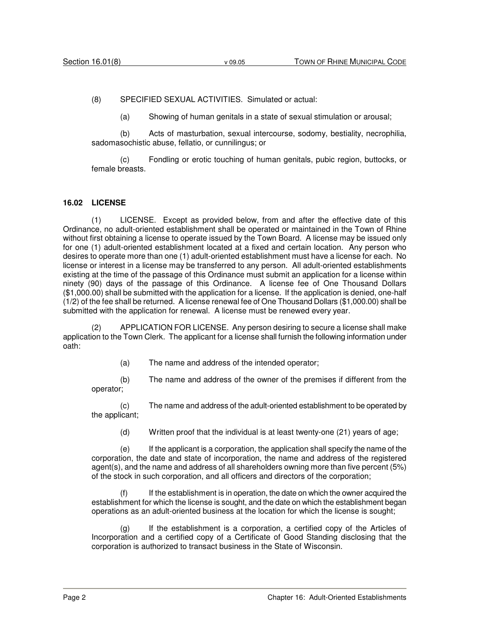(8) SPECIFIED SEXUAL ACTIVITIES. Simulated or actual:

(a) Showing of human genitals in a state of sexual stimulation or arousal;

(b) Acts of masturbation, sexual intercourse, sodomy, bestiality, necrophilia, sadomasochistic abuse, fellatio, or cunnilingus; or

(c) Fondling or erotic touching of human genitals, pubic region, buttocks, or female breasts.

#### **16.02 LICENSE**

(1) LICENSE. Except as provided below, from and after the effective date of this Ordinance, no adult-oriented establishment shall be operated or maintained in the Town of Rhine without first obtaining a license to operate issued by the Town Board. A license may be issued only for one (1) adult-oriented establishment located at a fixed and certain location. Any person who desires to operate more than one (1) adult-oriented establishment must have a license for each. No license or interest in a license may be transferred to any person. All adult-oriented establishments existing at the time of the passage of this Ordinance must submit an application for a license within ninety (90) days of the passage of this Ordinance. A license fee of One Thousand Dollars (\$1,000.00) shall be submitted with the application for a license. If the application is denied, one-half (1/2) of the fee shall be returned. A license renewal fee of One Thousand Dollars (\$1,000.00) shall be submitted with the application for renewal. A license must be renewed every year.

(2) APPLICATION FOR LICENSE. Any person desiring to secure a license shall make application to the Town Clerk. The applicant for a license shall furnish the following information under oath:

(a) The name and address of the intended operator;

(b) The name and address of the owner of the premises if different from the operator;

(c) The name and address of the adult-oriented establishment to be operated by the applicant;

(d) Written proof that the individual is at least twenty-one (21) years of age;

(e) If the applicant is a corporation, the application shall specify the name of the corporation, the date and state of incorporation, the name and address of the registered agent(s), and the name and address of all shareholders owning more than five percent (5%) of the stock in such corporation, and all officers and directors of the corporation;

(f) If the establishment is in operation, the date on which the owner acquired the establishment for which the license is sought, and the date on which the establishment began operations as an adult-oriented business at the location for which the license is sought;

(g) If the establishment is a corporation, a certified copy of the Articles of Incorporation and a certified copy of a Certificate of Good Standing disclosing that the corporation is authorized to transact business in the State of Wisconsin.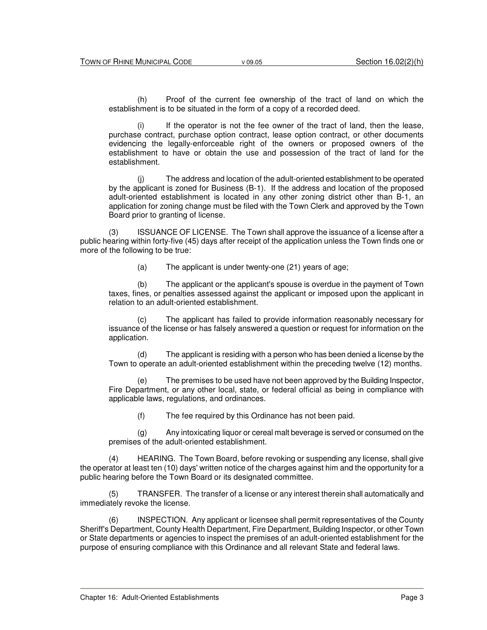(h) Proof of the current fee ownership of the tract of land on which the establishment is to be situated in the form of a copy of a recorded deed.

(i) If the operator is not the fee owner of the tract of land, then the lease, purchase contract, purchase option contract, lease option contract, or other documents evidencing the legally-enforceable right of the owners or proposed owners of the establishment to have or obtain the use and possession of the tract of land for the establishment.

(j) The address and location of the adult-oriented establishment to be operated by the applicant is zoned for Business (B-1). If the address and location of the proposed adult-oriented establishment is located in any other zoning district other than B-1, an application for zoning change must be filed with the Town Clerk and approved by the Town Board prior to granting of license.

(3) ISSUANCE OF LICENSE. The Town shall approve the issuance of a license after a public hearing within forty-five (45) days after receipt of the application unless the Town finds one or more of the following to be true:

(a) The applicant is under twenty-one (21) years of age;

(b) The applicant or the applicant's spouse is overdue in the payment of Town taxes, fines, or penalties assessed against the applicant or imposed upon the applicant in relation to an adult-oriented establishment.

(c) The applicant has failed to provide information reasonably necessary for issuance of the license or has falsely answered a question or request for information on the application.

(d) The applicant is residing with a person who has been denied a license by the Town to operate an adult-oriented establishment within the preceding twelve (12) months.

(e) The premises to be used have not been approved by the Building Inspector, Fire Department, or any other local, state, or federal official as being in compliance with applicable laws, regulations, and ordinances.

(f) The fee required by this Ordinance has not been paid.

(g) Any intoxicating liquor or cereal malt beverage is served or consumed on the premises of the adult-oriented establishment.

(4) HEARING. The Town Board, before revoking or suspending any license, shall give the operator at least ten (10) days' written notice of the charges against him and the opportunity for a public hearing before the Town Board or its designated committee.

(5) TRANSFER. The transfer of a license or any interest therein shall automatically and immediately revoke the license.

(6) INSPECTION. Any applicant or licensee shall permit representatives of the County Sheriff's Department, County Health Department, Fire Department, Building Inspector, or other Town or State departments or agencies to inspect the premises of an adult-oriented establishment for the purpose of ensuring compliance with this Ordinance and all relevant State and federal laws.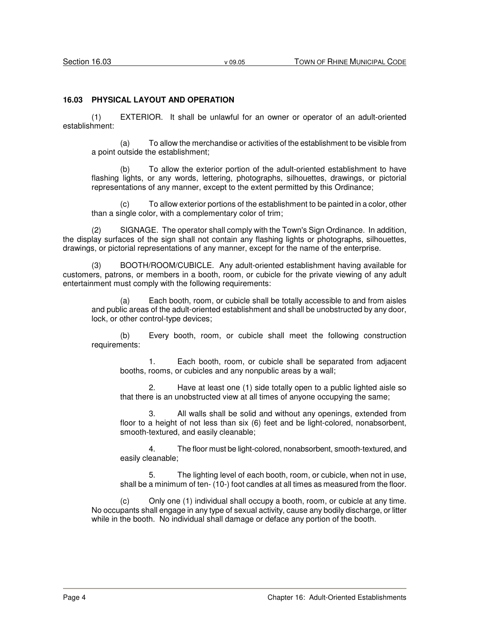#### **16.03 PHYSICAL LAYOUT AND OPERATION**

(1) EXTERIOR. It shall be unlawful for an owner or operator of an adult-oriented establishment:

(a) To allow the merchandise or activities of the establishment to be visible from a point outside the establishment;

(b) To allow the exterior portion of the adult-oriented establishment to have flashing lights, or any words, lettering, photographs, silhouettes, drawings, or pictorial representations of any manner, except to the extent permitted by this Ordinance;

(c) To allow exterior portions of the establishment to be painted in a color, other than a single color, with a complementary color of trim;

SIGNAGE. The operator shall comply with the Town's Sign Ordinance. In addition, the display surfaces of the sign shall not contain any flashing lights or photographs, silhouettes, drawings, or pictorial representations of any manner, except for the name of the enterprise.

(3) BOOTH/ROOM/CUBICLE. Any adult-oriented establishment having available for customers, patrons, or members in a booth, room, or cubicle for the private viewing of any adult entertainment must comply with the following requirements:

(a) Each booth, room, or cubicle shall be totally accessible to and from aisles and public areas of the adult-oriented establishment and shall be unobstructed by any door, lock, or other control-type devices;

(b) Every booth, room, or cubicle shall meet the following construction requirements:

1. Each booth, room, or cubicle shall be separated from adjacent booths, rooms, or cubicles and any nonpublic areas by a wall;

2. Have at least one (1) side totally open to a public lighted aisle so that there is an unobstructed view at all times of anyone occupying the same;

3. All walls shall be solid and without any openings, extended from floor to a height of not less than six (6) feet and be light-colored, nonabsorbent, smooth-textured, and easily cleanable;

4. The floor must be light-colored, nonabsorbent, smooth-textured, and easily cleanable;

5. The lighting level of each booth, room, or cubicle, when not in use, shall be a minimum of ten- (10-) foot candles at all times as measured from the floor.

(c) Only one (1) individual shall occupy a booth, room, or cubicle at any time. No occupants shall engage in any type of sexual activity, cause any bodily discharge, or litter while in the booth. No individual shall damage or deface any portion of the booth.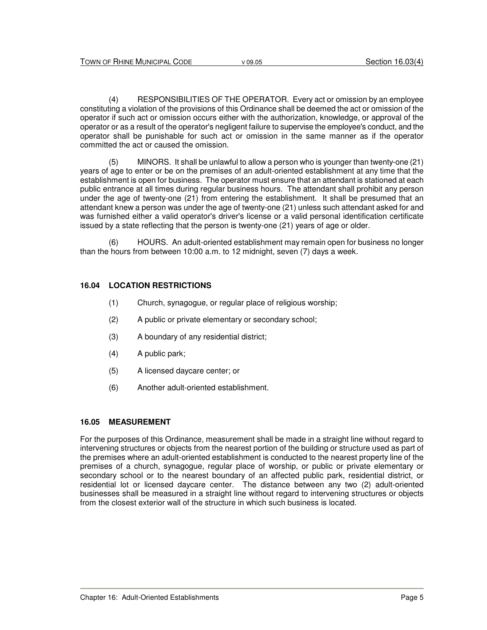(4) RESPONSIBILITIES OF THE OPERATOR. Every act or omission by an employee constituting a violation of the provisions of this Ordinance shall be deemed the act or omission of the operator if such act or omission occurs either with the authorization, knowledge, or approval of the operator or as a result of the operator's negligent failure to supervise the employee's conduct, and the operator shall be punishable for such act or omission in the same manner as if the operator committed the act or caused the omission.

(5) MINORS. It shall be unlawful to allow a person who is younger than twenty-one (21) years of age to enter or be on the premises of an adult-oriented establishment at any time that the establishment is open for business. The operator must ensure that an attendant is stationed at each public entrance at all times during regular business hours. The attendant shall prohibit any person under the age of twenty-one (21) from entering the establishment. It shall be presumed that an attendant knew a person was under the age of twenty-one (21) unless such attendant asked for and was furnished either a valid operator's driver's license or a valid personal identification certificate issued by a state reflecting that the person is twenty-one (21) years of age or older.

(6) HOURS. An adult-oriented establishment may remain open for business no longer than the hours from between 10:00 a.m. to 12 midnight, seven (7) days a week.

# **16.04 LOCATION RESTRICTIONS**

- (1) Church, synagogue, or regular place of religious worship;
- (2) A public or private elementary or secondary school;
- (3) A boundary of any residential district;
- (4) A public park;
- (5) A licensed daycare center; or
- (6) Another adult-oriented establishment.

#### **16.05 MEASUREMENT**

For the purposes of this Ordinance, measurement shall be made in a straight line without regard to intervening structures or objects from the nearest portion of the building or structure used as part of the premises where an adult-oriented establishment is conducted to the nearest property line of the premises of a church, synagogue, regular place of worship, or public or private elementary or secondary school or to the nearest boundary of an affected public park, residential district, or residential lot or licensed daycare center. The distance between any two (2) adult-oriented businesses shall be measured in a straight line without regard to intervening structures or objects from the closest exterior wall of the structure in which such business is located.